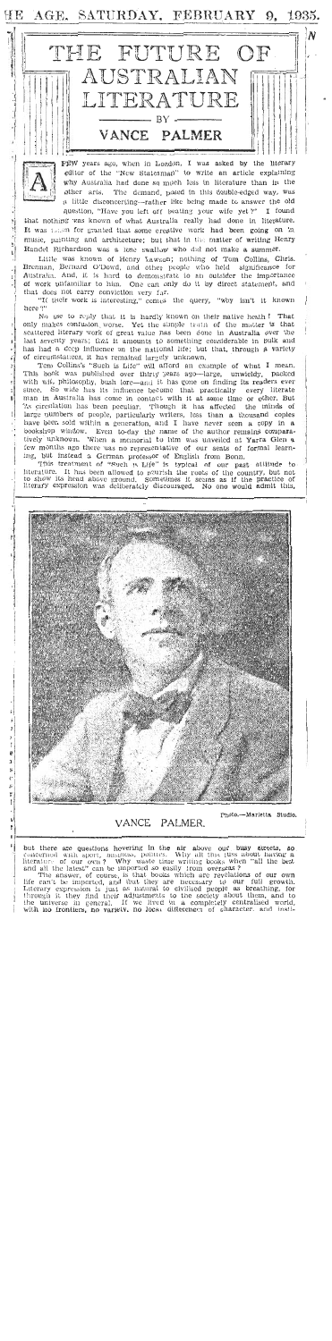ĦΕ AGE. SATURDAY, FEBRUARY 9, 1935.





VANCE PALMER.

é

-Marietta Studio, Photo.

uss about having a<br>when "all the best

but there are questions hovering in the air above our busy streets,<br>concerned with sport, business, politics. Why all this itses about havir<br>literature of our own? Why waste time writing books when "all the<br>and all the lat growth. seathing, for<br>bout them, and to<br>centralised world